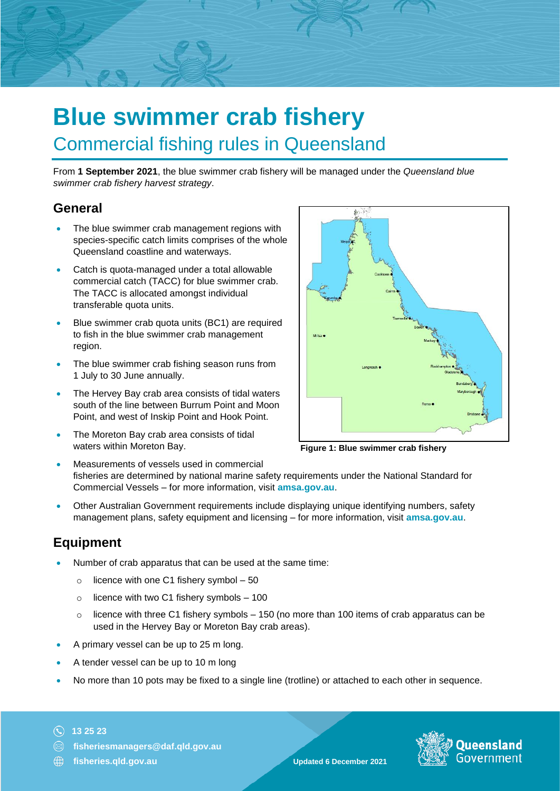# **Blue swimmer crab fishery** Commercial fishing rules in Queensland

From **1 September 2021**, the blue swimmer crab fishery will be managed under the *Queensland blue swimmer crab fishery harvest strategy*.

#### **General**

- The blue swimmer crab management regions with species-specific catch limits comprises of the whole Queensland coastline and waterways.
- Catch is quota-managed under a total allowable commercial catch (TACC) for blue swimmer crab. The TACC is allocated amongst individual transferable quota units.
- Blue swimmer crab quota units (BC1) are required to fish in the blue swimmer crab management region.
- The blue swimmer crab fishing season runs from 1 July to 30 June annually.
- The Hervey Bay crab area consists of tidal waters south of the line between Burrum Point and Moon Point, and west of Inskip Point and Hook Point.
- The Moreton Bay crab area consists of tidal waters within Moreton Bay.



**Figure 1: Blue swimmer crab fishery**

- Measurements of vessels used in commercial fisheries are determined by national marine safety requirements under the National Standard for Commercial Vessels – for more information, visit **amsa.gov.au**.
- Other Australian Government requirements include displaying unique identifying numbers, safety management plans, safety equipment and licensing – for more information, visit **amsa.gov.au**.

## **Equipment**

- Number of crab apparatus that can be used at the same time:
	- $\circ$  licence with one C1 fishery symbol 50
	- $\circ$  licence with two C1 fishery symbols 100
	- $\circ$  licence with three C1 fishery symbols 150 (no more than 100 items of crab apparatus can be used in the Hervey Bay or Moreton Bay crab areas).
- A primary vessel can be up to 25 m long.
- A tender vessel can be up to 10 m long
- No more than 10 pots may be fixed to a single line (trotline) or attached to each other in sequence.

#### **13 25 23**

- **fisheriesmanagers@daf.qld.gov.au**
- **fisheries.qld.gov.au Updated 6 December 2021**

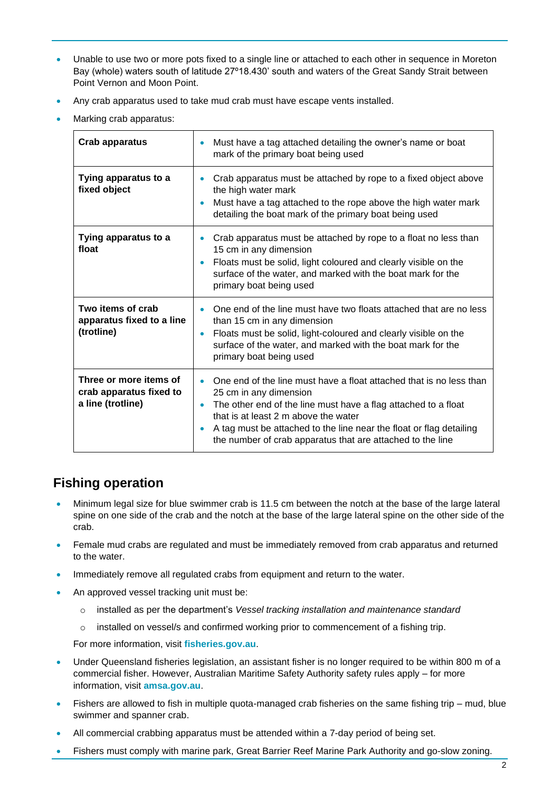- Unable to use two or more pots fixed to a single line or attached to each other in sequence in Moreton Bay (whole) waters south of latitude 27º18.430' south and waters of the Great Sandy Strait between Point Vernon and Moon Point.
- Any crab apparatus used to take mud crab must have escape vents installed.
- Marking crab apparatus:

| <b>Crab apparatus</b>                                                  | Must have a tag attached detailing the owner's name or boat<br>۰<br>mark of the primary boat being used                                                                                                                                                                                                                                                   |
|------------------------------------------------------------------------|-----------------------------------------------------------------------------------------------------------------------------------------------------------------------------------------------------------------------------------------------------------------------------------------------------------------------------------------------------------|
| Tying apparatus to a<br>fixed object                                   | Crab apparatus must be attached by rope to a fixed object above<br>the high water mark<br>Must have a tag attached to the rope above the high water mark<br>detailing the boat mark of the primary boat being used                                                                                                                                        |
| Tying apparatus to a<br>float                                          | Crab apparatus must be attached by rope to a float no less than<br>$\bullet$<br>15 cm in any dimension<br>Floats must be solid, light coloured and clearly visible on the<br>surface of the water, and marked with the boat mark for the<br>primary boat being used                                                                                       |
| Two items of crab<br>apparatus fixed to a line<br>(trotline)           | One end of the line must have two floats attached that are no less<br>than 15 cm in any dimension<br>Floats must be solid, light-coloured and clearly visible on the<br>۰<br>surface of the water, and marked with the boat mark for the<br>primary boat being used                                                                                       |
| Three or more items of<br>crab apparatus fixed to<br>a line (trotline) | One end of the line must have a float attached that is no less than<br>25 cm in any dimension<br>The other end of the line must have a flag attached to a float<br>$\bullet$<br>that is at least 2 m above the water<br>A tag must be attached to the line near the float or flag detailing<br>the number of crab apparatus that are attached to the line |

# **Fishing operation**

- Minimum legal size for blue swimmer crab is 11.5 cm between the notch at the base of the large lateral spine on one side of the crab and the notch at the base of the large lateral spine on the other side of the crab.
- Female mud crabs are regulated and must be immediately removed from crab apparatus and returned to the water.
- Immediately remove all regulated crabs from equipment and return to the water.
- An approved vessel tracking unit must be:
	- o installed as per the department's *Vessel tracking installation and maintenance standard*
	- $\circ$  installed on vessel/s and confirmed working prior to commencement of a fishing trip.

For more information, visit **[fisheries.gov.au](http://www.fisheries.gov.au/)**.

- Under Queensland fisheries legislation, an assistant fisher is no longer required to be within 800 m of a commercial fisher. However, Australian Maritime Safety Authority safety rules apply – for more information, visit **[amsa.gov.au](https://www.amsa.gov.au/)**.
- Fishers are allowed to fish in multiple quota-managed crab fisheries on the same fishing trip mud, blue swimmer and spanner crab.
- All commercial crabbing apparatus must be attended within a 7-day period of being set.
- Fishers must comply with marine park, Great Barrier Reef Marine Park Authority and go-slow zoning.